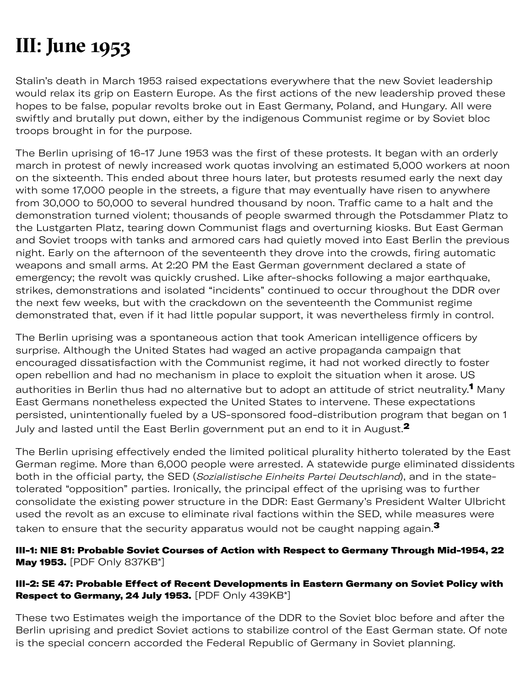# **III: June 1953**

Stalin's death in March 1953 raised expectations everywhere that the new Soviet leadership would relax its grip on Eastern Europe. As the first actions of the new leadership proved these hopes to be false, popular revolts broke out in East Germany, Poland, and Hungary. All were swiftly and brutally put down, either by the indigenous Communist regime or by Soviet bloc troops brought in for the purpose.

The Berlin uprising of 16-17 June 1953 was the first of these protests. It began with an orderly march in protest of newly increased work quotas involving an estimated 5,000 workers at noon on the sixteenth. This ended about three hours later, but protests resumed early the next day with some 17,000 people in the streets, a figure that may eventually have risen to anywhere from 30,000 to 50,000 to several hundred thousand by noon. Traffic came to a halt and the demonstration turned violent; thousands of people swarmed through the Potsdammer Platz to the Lustgarten Platz, tearing down Communist flags and overturning kiosks. But East German and Soviet troops with tanks and armored cars had quietly moved into East Berlin the previous night. Early on the afternoon of the seventeenth they drove into the crowds, firing automatic weapons and small arms. At 2:20 PM the East German government declared a state of emergency; the revolt was quickly crushed. Like after-shocks following a major earthquake, strikes, demonstrations and isolated "incidents" continued to occur throughout the DDR over the next few weeks, but with the crackdown on the seventeenth the Communist regime demonstrated that, even if it had little popular support, it was nevertheless firmly in control.

The Berlin uprising was a spontaneous action that took American intelligence officers by surprise. Although the United States had waged an active propaganda campaign that encouraged dissatisfaction with the Communist regime, it had not worked directly to foster open rebellion and had no mechanism in place to exploit the situation when it arose. US authorities in Berlin thus had no alternative but to adopt an attitude of strict neutrality.<sup>1</sup> Many East Germans nonetheless expected the United States to intervene. These expectations persisted, unintentionally fueled by a US-sponsored food-distribution program that began on 1 July and lasted until the East Berlin government put an end to it in August. $^2$ 

The Berlin uprising effectively ended the limited political plurality hitherto tolerated by the East German regime. More than 6,000 people were arrested. A statewide purge eliminated dissidents both in the official party, the SED (Sozialistische Einheits Partei Deutschland), and in the statetolerated "opposition" parties. Ironically, the principal effect of the uprising was to further consolidate the existing power structure in the DDR: East Germany's President Walter Ulbricht used the revolt as an excuse to eliminate rival factions within the SED, while measures were taken to ensure that the security apparatus would not be caught napping again. $^{\mathbf{3}}$ 

# III-1: NIE 81: Probable Soviet Courses of Action with Respect to Germany Through Mid-1954, 22 **May 1953.** [PDF Only 837KB\*]

# III-2: SE 47: Probable Effect of Recent Developments in Eastern Germany on Soviet Policy with Respect to Germany, 24 July 1953. [PDF Only 439KB\*]

These two Estimates weigh the importance of the DDR to the Soviet bloc before and after the Berlin uprising and predict Soviet actions to stabilize control of the East German state. Of note is the special concern accorded the Federal Republic of Germany in Soviet planning.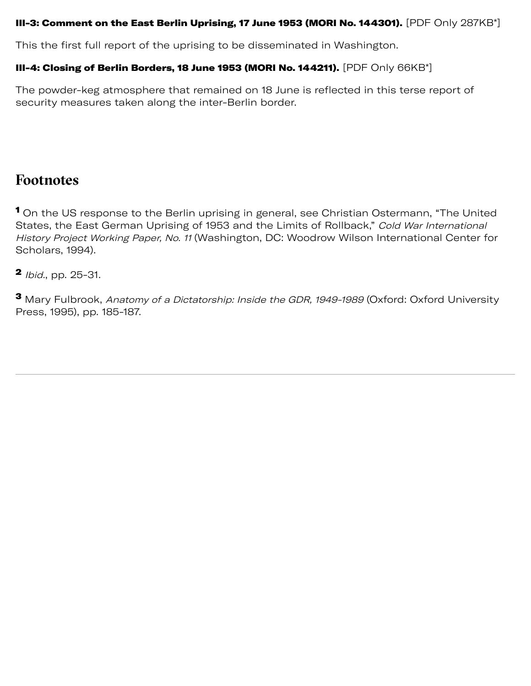## III-3: Comment on the East Berlin Uprising, 17 June 1953 (MORI No. 144301).  $[{\sf PDF~Only~287KB^*}]$

This the first full report of the uprising to be disseminated in Washington.

# III-4: Closing of Berlin Borders, 18 June 1953 (MORI No. 144211). [PDF Only 66KB\*]

The powder-keg atmosphere that remained on 18 June is reflected in this terse report of security measures taken along the inter-Berlin border.

# **Footnotes**

<sup>1</sup> On the US response to the Berlin uprising in general, see Christian Ostermann, "The United States, the East German Uprising of 1953 and the Limits of Rollback," Cold War International History Project Working Paper, No. 11 (Washington, DC: Woodrow Wilson International Center for Scholars, 1994).

**2** *Ibid.*, pp. 25-31.

<sup>3</sup> Mary Fulbrook, Anatomy of a Dictatorship: Inside the GDR, 1949-1989 (Oxford: Oxford University Press, 1995), pp. 185-187.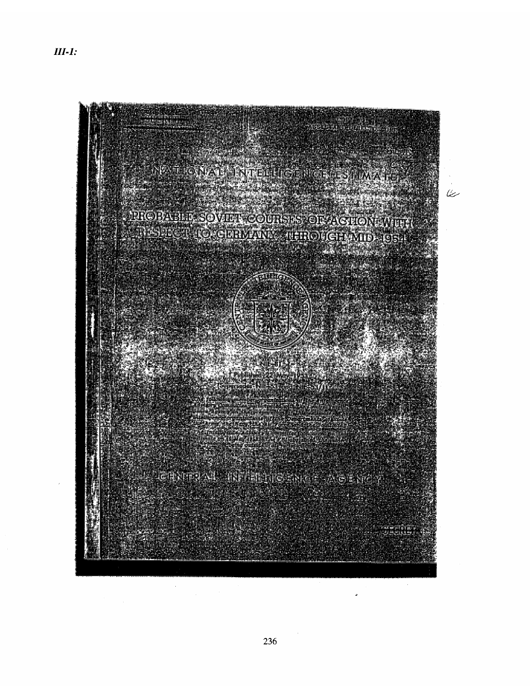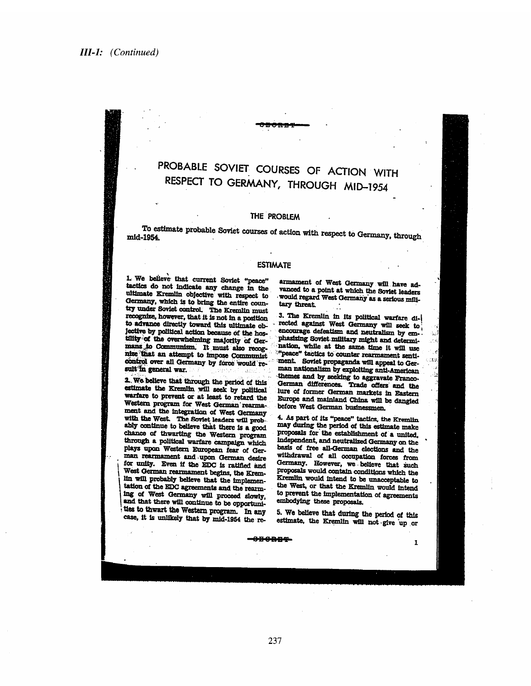# PROBABLE SOVIET COURSES OF ACTION WITH RESPECT TO GERMANY, THROUGH MID-1954

### THE PROBLEM

To estimate probable Soviet courses of action with respect to Germany, through mid-1954.

#### **ESTIMATE**

1. We believe that current Soviet "peace" tactics do not indicate any change in the ultimate Kremlin objective with respect to Germany, which is to bring the entire country under Soviet control. The Kremlin must recognize, however, that it is not in a position to advance directly toward this ultimate objective by political action because of the hostility of the overwhelming majority of Germans to Communism. It must also recognize that an attempt to impose Communist control over all Germany by force would result in general war.

2. We believe that through the period of this estimate the Kremlin will seek by political warfare to prevent or at least to retard the Western program for West German rearmament and the integration of West Germany with the West. The Soviet leaders will probably continue to believe that there is a good chance of thwarting the Western program through a political warfare campaign which plays upon Western European fear of German rearmament and upon German desire for unity. Even if the EDC is ratified and West German rearmament begins, the Kremlin will probably believe that the implementation of the EDC agreements and the rearming of West Germany will proceed slowly, and that there will continue to be opportunities to thwart the Western program. In any case, it is unlikely that by mid-1954 the rearmament of West Germany will have advanced to a point at which the Soviet leaders would regard West Germany as a serious milltary threat.

3. The Kremlin in its political warfare directed against West Germany will seek to encourage defeatism and neutralism by emphasizing Soviet military might and determination, while at the same time it will use "peace" tactics to counter rearmament sentiment. Soviet propaganda will appeal to German nationalism by exploiting anti-American themes and by seeking to aggravate Franco-German differences. Trade offers and the lure of former German markets in Eastern Europe and mainland China will be dangled before West German businessmen.

 $\alpha$ 

 $\mathbf{I}$ 

4. As part of its "peace" tactics, the Kremlin may during the period of this estimate make proposals for the establishment of a united, independent, and neutralized Germany on the basis of free all-German elections and the withdrawal of all occupation forces from Germany. However, we believe that such proposals would contain conditions which the Kremlin would intend to be unacceptable to the West, or that the Kremlin would intend to prevent the implementation of agreements embodying these proposals.

5. We believe that during the period of this estimate, the Kremlin will not give up or

ang pag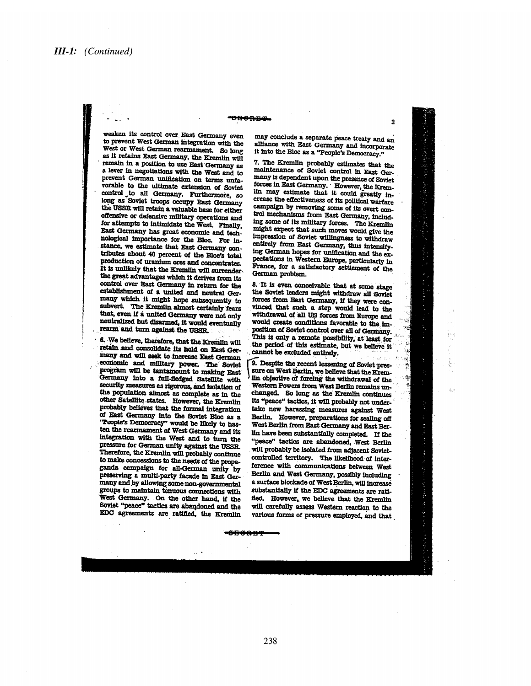#### حاسب والأوالية

weaken its control over East Germany even to prevent West German integration with the West or West German rearmament. So long as it retains East Germany, the Kremlin will remain in a position to use East Germany as a lever in negotiations with the West and to prevent German unification on terms unfavorable to the ultimate extension of Soviet control to all Germany. Furthermore, so long as Soviet troops occupy East Germany the USSR will retain a valuable base for either offensive or defensive military operations and for attempts to intimidate the West. Finally, East Germany has great economic and technological importance for the Bloc. For instance, we estimate that East Germany contributes about 40 percent of the Bloc's total production of uranium ores and concentrates. It is unlikely that the Kremlin will surrender. the great advantages which it derives from its control over East Germany in return for the establishment of a united and neutral Germany which it might hope subsequently to subvert. The Kremlin almost certainly fears that, even if a united Germany were not only neutralized but disarmed, it would eventually rearm and turn against the USSR.

6. We believe, therefore, that the Kremlin will retain and consolidate its hold on East Germany and will seek to increase East German economic and military power. The Soviet program will be tantamount to making East Germany into a full-fledged Satellite with security measures as rigorous, and isolation of the population almost as complete as in the other Satellite states. However, the Kremlin probably believes that the formal integration of East Germany into the Soviet Bloc as a "People's Democracy" would be likely to hasten the rearmament of West Germany and its integration with the West and to turn the pressure for German unity against the USSR. Therefore, the Kremlin will probably continue to make concessions to the needs of the propaganda campaign for all-German unity by preserving a multi-party facade in East Germany and by allowing some non-governmental groups to maintain tenuous connections with West Germany. On the other hand, if the Soviet "peace" tactics are abandoned and the EDC agreements are ratified, the Kremlin may conclude a separate peace treaty and an alliance with East Germany and incorporate it into the Bloc as a "People's Democracy."

 $\overline{\mathbf{2}}$ 

İ

7. The Kremlin probably estimates that the maintenance of Soviet control in East Germany is dependent upon the presence of Soviet forces in East Germany. However, the Kremlin may estimate that it could greatly increase the effectiveness of its political warfare campaign by removing some of its overt control mechanisms from East Germany, including some of its military forces. The Kremlin might expect that such moves would give the impression of Soviet willingness to withdraw entirely from East Germany, thus intensifying German hopes for unification and the expectations in Western Europe, particularly in France, for a satisfactory settlement of the German problem.

8. It is even conceivable that at some stage the Soviet leaders might withdraw all Soviet forces from East Germany, if they were convinced that such a step would lead to the withdrawal of all US forces from Europe and would create conditions favorable to the imposition of Soviet control over all of Germany. This is only a remote possibility, at least for the period of this estimate, but we believe it cannot be excluded entirely.

9. Despite the recent lessening of Soviet pressure on West Berlin, we believe that the Kremlin objective of forcing the withdrawal of the Western Powers from West Berlin remains unchanged. So long as the Kremlin continues its "peace" tactics, it will probably not undertake new harassing measures against West Berlin. However, preparations for sealing off West Berlin from East Germany and East Berlin have been substantially completed. If the "peace" tactics are abandoned, West Berlin will probably be isolated from adjacent Sovietcontrolled territory. The likelihood of interference with communications between West Berlin and West Germany, possibly including a surface blockade of West Berlin, will increase substantially if the EDC agreements are ratified. However, we believe that the Kremlin will carefully assess Western reaction to the various forms of pressure employed, and that

<del>-8000 R4</del>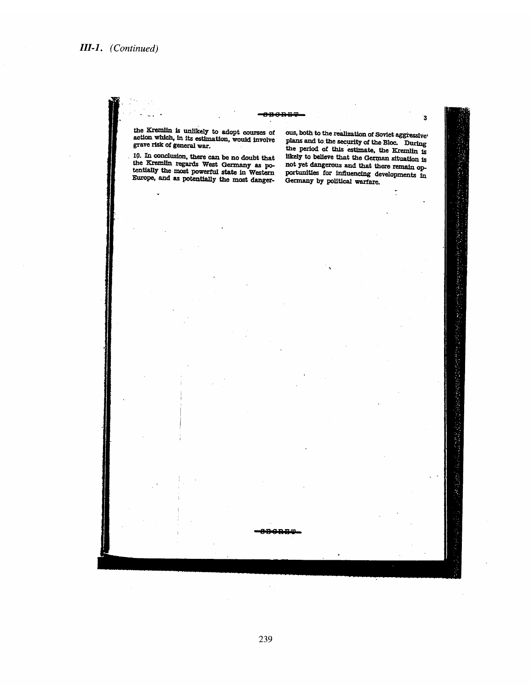#### <del>ogonbo</del>

the Kremlin is unlikely to adopt courses of<br>action which, in its estimation, would involve<br>grave risk of general war.

10. In conclusion, there can be no doubt that<br>the Kremlin regards West Germany as po-<br>tentially the most powerful state in Western<br>contract and the most details Europe, and as potentially the most danger-

ous, both to the realization of Soviet aggressive plans and to the security of the Bloc. During the period of this estimate, the Eremin is likely to believe that the German situation is not yet dangerous and that there remain opportunities for influencing developments in Germany by political warfare.

3

mora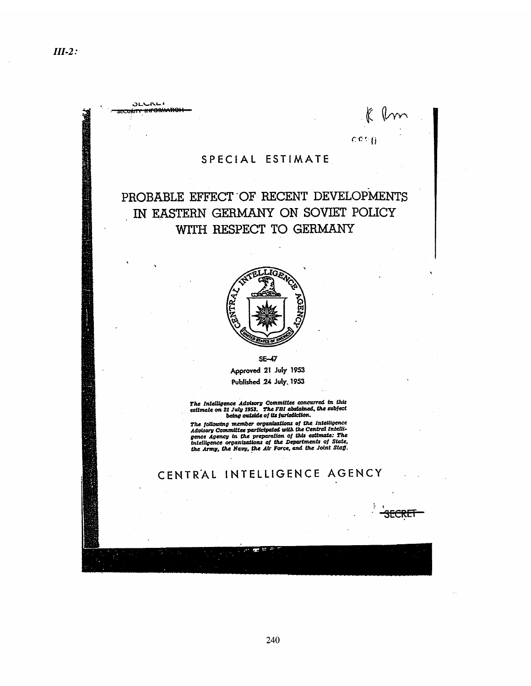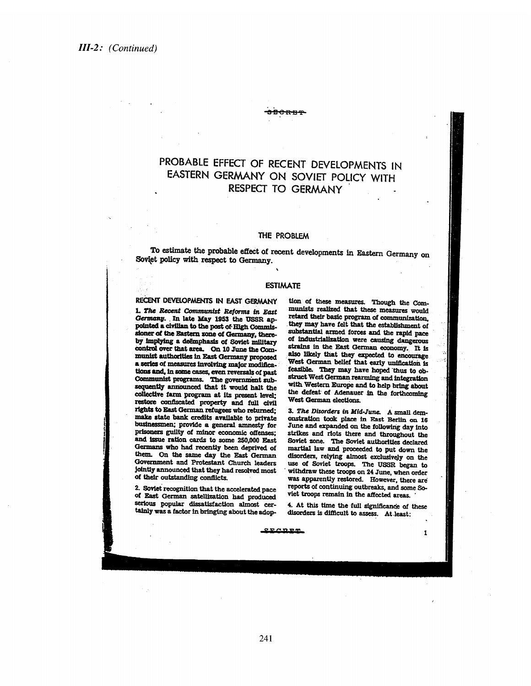# PROBABLE EFFECT OF RECENT DEVELOPMENTS IN EASTERN GERMANY ON SOVIET POLICY WITH RESPECT TO GERMANY

<del>80RB4</del>

#### THE PROBLEM

To estimate the probable effect of recent developments in Eastern Germany on Soviet policy with respect to Germany.

#### **ESTIMATE**

### RECENT DEVELOPMENTS IN EAST GERMANY

1. The Recent Communist Reforms in East Germany. In late May 1953 the USSR appointed a civilian to the post of High Commissioner of the Eastern zone of Germany, thereby implying a deëmphasis of Soviet military control over that area. On 10 June the Communist authorities in East Germany proposed a series of measures involving major modifications and, in some cases, even reversals of past Communist programs. The government subsequently announced that it would halt the collective farm program at its present level; restore confiscated property and full civil rights to East German refugees who returned; make state bank credits available to private businessmen; provide a general amnesty for prisoners guilty of minor economic offenses: and issue ration cards to some 250,000 East Germans who had recently been deprived of them. On the same day the East German Government and Protestant Church leaders jointly announced that they had resolved most of their outstanding conflicts.

2. Soviet recognition that the accelerated pace of East German satellization had produced serious popular dissatisfaction almost certainly was a factor in bringing about the adop-

tion of these measures. Though the Communists realized that these measures would retard their basic program of communization. they may have felt that the establishment of substantial armed forces and the rapid pace of industrialization were causing dangerous strains in the East German economy. It is also likely that they expected to encourage West German belief that early unification is feasible. They may have hoped thus to obstruct West German rearming and integration with Western Europe and to help bring about the defeat of Adenauer in the forthcoming West German elections.

3. The Disorders in Mid-June. A small demonstration took place in East Berlin on 16 June and expanded on the following day into strikes and riots there and throughout the Soviet zone. The Soviet authorities declared martial law and proceeded to put down the disorders, relying almost exclusively on the use of Soviet troops. The USSR began to withdraw these troops on 24 June, when order was apparently restored. However, there are reports of continuing outbreaks, and some Soviet troops remain in the affected areas.

4. At this time the full significance of these disorders is difficult to assess. At least:

 $\mathbf I$ 

 $270055$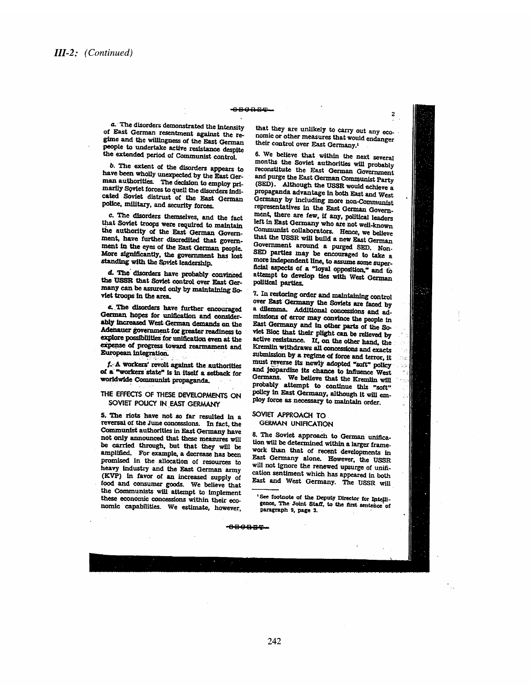#### **OBGRET**

a. The disorders demonstrated the intensity of East German resentment against the regime and the willingness of the East German people to undertake active resistance despite the extended period of Communist control.

b. The extent of the disorders appears to have been wholly unexpected by the East German authorities. The decision to employ primarily Soviet forces to quell the disorders indicated Soviet distrust of the East German police, military, and security forces.

c. The disorders themselves, and the fact that Soviet troops were required to maintain the authority of the East German Government, have further discredited that government in the eyes of the East German people. More significantly, the government has lost standing with the Soviet leadership.

d. The disorders have probably convinced the USSR that Soviet control over East Germany can be assured only by maintaining Soviet troops in the area.

c. The disorders have further encouraged German hopes for unification and considerably increased West German demands on the Adenauer government for greater readiness to explore possibilities for unification even at the expense of progress toward rearmament and European integration.

f. A workers' revolt against the authorities of a "workers state" is in itself a setback for worldwide Communist propaganda.

#### THE EFFECTS OF THESE DEVELOPMENTS ON SOVIET POUCY IN EAST GERMANY

5. The riots have not so far resulted in a reversal of the June concessions. In fact, the Communist authorities in East Germany have not only announced that these measures will be carried through, but that they will be amplified. For example, a decrease has been promised in the allocation of resources to heavy industry and the East German army (KVP) in favor of an increased supply of food and consumer goods. We believe that the Communists will attempt to implement these economic concessions within their economic capabilities. We estimate, however.

that they are unlikely to carry out any economic or other measures that would endanger their control over East Germany.<sup>1</sup>

6. We believe that within the next several months the Soviet authorities will probably reconstitute the East German Government and purge the East German Communist Party (SED). Although the USSR would achieve a propaganda advantage in both East and West Germany by including more non-Communist representatives in the East German Government, there are few, if any, political leaders left in East Germany who are not well-known Communist collaborators. Hence, we believe that the USSR will build a new East German Government around a purged SED. Non-SED parties may be encouraged to take a more independent line, to assume some superficial aspects of a "loyal opposition," and to attempt to develop ties with West German political parties.

7. In restoring order and maintaining control over East Germany the Soviets are faced by a dilemma. Additional concessions and admissions of error may convince the people in East Germany and in other parts of the Soviet Bloc that their plight can be relieved by active resistance. If, on the other hand, the Kremlin withdraws all concessions and exacts submission by a regime of force and terror, it must reverse its newly adopted "soft" policy and jeopardize its chance to influence West Germans. We believe that the Kremlin will probably attempt to continue this "soft" policy in East Germany, although it will employ force as necessary to maintain order.

#### SOVIET APPROACH TO GERMAN UNIFICATION

8. The Soviet approach to German unification will be determined within a larger framework than that of recent developments in East Germany alone. However, the USSR will not ignore the renewed upsurge of unification sentiment which has appeared in both East and West Germany. The USSR will

See footnote of the Deputy Director for Intelligence, The Joint Staff, to the first sentence of paragraph 9, page 3.

#### **CHORES**

242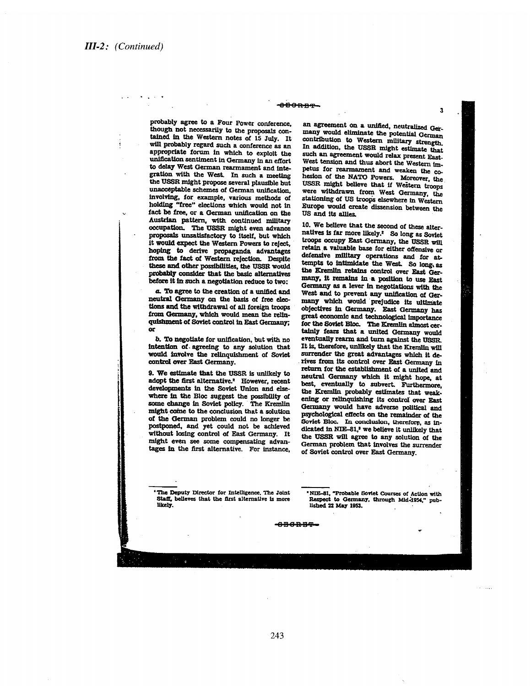#### <del>obong-</del>

probably agree to a Four Power conference, though not necessarily to the proposals contained in the Western notes of 15 July. It will probably regard such a conference as an appropriate forum in which to exploit the unification sentiment in Germany in an effort to delay West German rearmament and integration with the West. In such a meeting the USSR might propose several plausible but unacceptable schemes of German unification, involving, for example, various methods of holding "free" elections which would not in fact be free, or a German unification on the Austrian pattern, with continued military<br>occupation. The USSR might even advance proposals unsatisfactory to itself, but which it would expect the Western Powers to reject, hoping to derive propaganda advantages from the fact of Western rejection. Despite these and other possibilities, the USSR would probably consider that the basic alternatives before it in such a negotiation reduce to two:

a. To agree to the creation of a unified and neutral Germany on the basis of free elections and the withdrawal of all foreign troops from Germany, which would mean the relinquishment of Soviet control in East Germany; or

b. To negotiate for unification, but with no intention of agreeing to any solution that would involve the relinquishment of Soviet control over East Germany.

9. We estimate that the USSR is unlikely to adopt the first alternative.<sup>2</sup> However, recent developments in the Soviet Union and elsewhere in the Bloc suggest the possibility of some change in Soviet policy. The Kremlin might come to the conclusion that a solution of the German problem could no longer be postponed, and yet could not be achieved without losing control of East Germany. It might even see some compensating advantages in the first alternative. For instance,

an agreement on a unified, neutralized Germany would eliminate the potential German contribution to Western military strength. In addition, the USSR might estimate that such an agreement would relax present East-West tension and thus abort the Western impetus for rearmament and weaken the cohesion of the NATO Powers. Moreover, the USSR might believe that if Western troops were withdrawn from West Germany, the stationing of US troops elsewhere in Western Europe would create dissension between the US and its allies.

10. We believe that the second of these alternatives is far more likely.<sup>2</sup> So long as Soviet troops occupy East Germany, the USSR will retain a valuable base for either offensive or defensive military operations and for attempts to intimidate the West. So long as the Kremlin retains control over East Germany, it remains in a position to use East Germany as a lever in negotiations with the West and to prevent any unification of Germany which would prejudice its ultimate objectives in Germany. East Germany has great economic and technological importance for the Soviet Bloc. The Kremlin almost certainly fears that a united Germany would eventually rearm and turn against the USSR. It is, therefore, unlikely that the Kremlin will surrender the great advantages which it derives from its control over East Germany in return for the establishment of a united and neutral Germany which it might hope, at best, eventually to subvert. Furthermore, the Kremlin probably estimates that weakening or relinquishing its control over East Germany would have adverse political and psychological effects on the remainder of the Soviet Bloc. In conclusion, therefore, as indicated in NIE-81,<sup>3</sup> we believe it unlikely that the USSR will agree to any solution of the German problem that involves the surrender of Soviet control over East Germany.

The Deputy Director for Intelligence. The Joint Staff, believes that the first alternative is more likely.

'NIE-81, "Probable Soviet Courses of Action with Respect to Germany, through Mid-1954," published 22 May 1953.

-880RBT-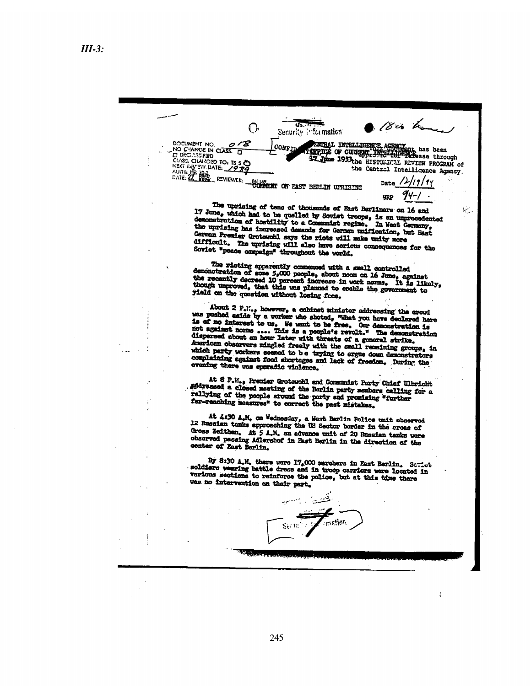18cm Les क्रम O, Security information DOCUMENT NO. 2/2 CONFIDENT OF CURRENT NO. 1973.<br>
NO CHANGE IN CLASS. CONFIDENT TO THE CLASS. CHANGE ID CLASS. CHANGE ID TO. 15 5 STORIL INTELLIGENCE AGENCY<br>TORPICS OF CURRENT INTELLIGENCE has been 17 June 1953 the HISTORICAL REVIEW PROGRAM of

the Central Intelligence Agency. /2, 41 '1y Date **HRP** 

يبينا

 $\overline{1}$ 

The uprising of tens of thousands of East Berliners on 16 and 17 June, which had to be qualled by Soviet troops, is an unprecedented demonstration of hostility to a Communist regime. In West Germany, demonstration of hostility to a Communist regime. In West Germany, the uprising has increased demands for German unification, but East German Premier Groteschl says the riots will make unity more difficult. The unrising will also have serious consequences for the Soviet "peace campaign" throughout the world.

The rioting apparently commenced with a small controlled<br>demonstration of some 5,000 people, about noon on 16 June, against<br>the recently decreed 10 percent increase in work norms. It is likely,<br>though unproved, that this w yield on the question without losing face.

About 2  $P_nU_{n,p}$  however, a cohinst minister addressing the crowd<br>was pushed aside by a worker who shoted, "What you have declared here<br>is of no interest to us. We want to be free. Our demonstration is<br>not against norms Aperican observers mingled freely with the small remaining groups, in which party workers seemed to be trying to argue down demonstrators compleining against food shortages and lack of freedom. During the evening there was sparadic violence.

At 8 P.M., Premier Grotewohl and Communist Party Chief Ulbricht andressed a closed meting of the Berlin party members calling for a rallying of the people around the party and promising "further far-reaching measures" to correct the past mistakes.

At 4:30 A.M. on Wednesday, a West Barlin Police unit observed 12 Russian tanks approaching the US Sector border in the creas of Gross Zeithen. At 5 A.M. an advance unit of 20 Russian tanks were observed passing Adlershof in East Berlin in the direction of the center of East Berlin.

By 8:30 A.M. there were 17,000 marchers in East Berlin. Scriet soldiers wearing battle dress and in troop carriers were located in various sections to reinforce the police, but at this time there was no intervention on their part.

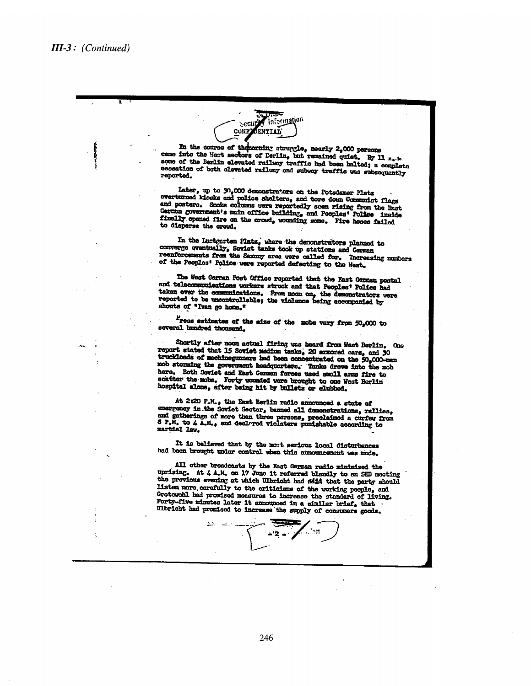Information Sectin **ENTIAL CONT** 

In the course of themorning struggle, nearly 2,000 persons came into the Heat sectors of Barlin, but remained quiet. By 11 Mode some of the Berlin elevated railway traffic had boen halted; a complete cessation of both elevated railway and subway traffic was subsequently reported.

Later, up to 30,000 demonstrators on the Potsdamer Platz overturned klosks and police shelters, and tore down Communist flags and posters. Snoke columns were reportedly seen rising from the Enst German government's main office building, and Peoples' Police inside finally opened fire on the crowd, wounding some. Pire hoses failed to disperse the crowd.

In the lucteurten Plats, where the deconstrators planned to converge eventually, Soviet tanks took up stations and German resuforcements from the Saxony area were called for. Increasing numbers of the Peoplos' Police were reported defecting to the West.

The West Cernen Post Office reported that the East German postal and telecommunications workers struck and that Peoples' Police had taken over the communications. From noon on, the demonstrators were reported to be uncontrollable; the violence being accompanied by shouts of "Ivan go home."

Tress estimates of the size of the mobs vary from 50,000 to severol hundred thousand.

Shortly after noon actual firing was heard from West Berlin. One report stated that 15 Soviet medium tanks, 20 armored cars, and 30 truckloads of machinegumners had been concentrated on the 50,000-man mob storming the government headquarters. Tanks drove into the mob here. Both Coviet and East Cerman forces used smoll arms fire to scatter the mobs. Forty wounded were brought to one West Berlin hospital alone, after being hit by bullets or clubbed.

At 2:20 P.M., the East Berlin radio announced a state of emergency in the Soviet Sector, banned all demonstrations, rallies, and gatherings of more than three persons, preclaimed a curfew from 8  $P_sM_s$  to  $\Lambda$   $A_sM_s$ , and declared violature pumishable according to martial law.

It is believed that by the most serious local disturbances had been brought under control when this announcement was made.

All other broadcasts by the East German radio minimized the uprising. At 4 A.M. on 17 June it referred blandly to an SED meeting the previous evening at which Ulbricht had said that the party should listen more carefully to the criticisms of the working people, and Grotewohl had promised measures to increase the standard of living. Forty-five minutes later it announced in a similar brief, that Ulbricht had promised to increase the supply of consumers goods.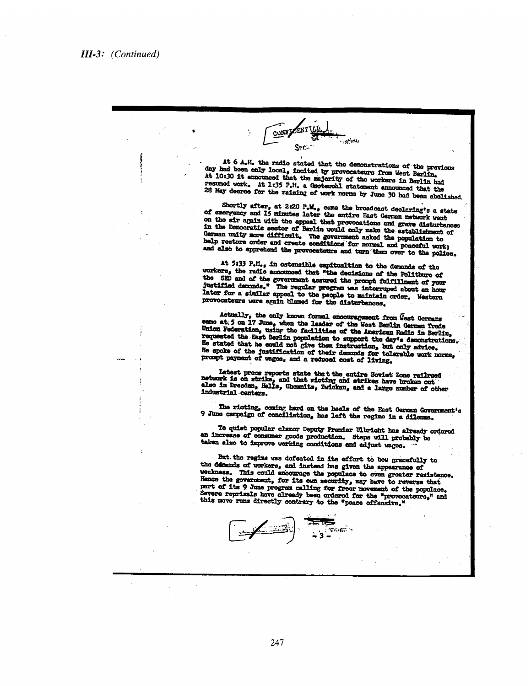CONFIDEN. **Sation** Sec., At 6 A.M. the radio stated that the demonstrations of the previous day had been only local, incited by provocateurs from West Berlin, At 10:30 it announced that the majority of the workers in Berlin had resumed work. At 1:35 P.M. a Geotewohl statement announced that the 28 May decree for the raising of work norms by June 30 had been abolished. Shortly after, at 2:20 P.M., came the broadcast declaring's a state of emergency and 15 minutes later the entire East German network went on the air again with the appeal that provocations and grave disturbances in the Democratic sector of Berlin would only make the establishment of German unity more difficult. The government asked the population to help restore order and create conditions for normal and posceful work; and also to apprehend the provocateurs and turn them over to the police. At 5:33 P.M., in ostensible capitualtion to the demands of the workers, the radio announced that "the decisions of the Politburo of the SED and of the government assured the prompt fulfillment of your justified demands." The regular program was interruped about an hour later for a similar appeal to the people to maintain order. Western provocateurs were again blamed for the disturbances. Actually, the only known formal encouragement from West Germans came at 5 on 17 June, when the leader of the West Berlin German Trade Union Federation, using the facilities of the American Radio in Berlin, requested the East Berlin population to support the day's demonstrations. He stated that he could not give them instruction, but only advice. prompt payment of wages, and a reduced cost of living. Latest press reports state the t the entire Soviet Zone railroad<br>network is on strike, and that ricting and strikes have broken out<br>also in Dresden, Halle, Chemnits, Zwickau, and a large number of other industrial centers. The ricting, coming hard on the heels of the East German Government's 9 June campaign of conciliation, has left the regime in a dilemma. To quiet popular clamor Deputy Premier Ulbricht has already ordered an increase of consumer goods production. Steps will probably be taken also to improve working conditions and adjust wages. But the regime was defeated in its effort to bow gracefully to the demands of workers, and instead has given the appearance of weakness. This could encourage the populace to even greater resistance. Hence the government, for its own security, may have to reverse that part of its 9 June program calling for freer movement of the populace. Severe reprissils have already been ordered for the "provocateurs," and this move runs directly contrary to the "peace offensive." 276653